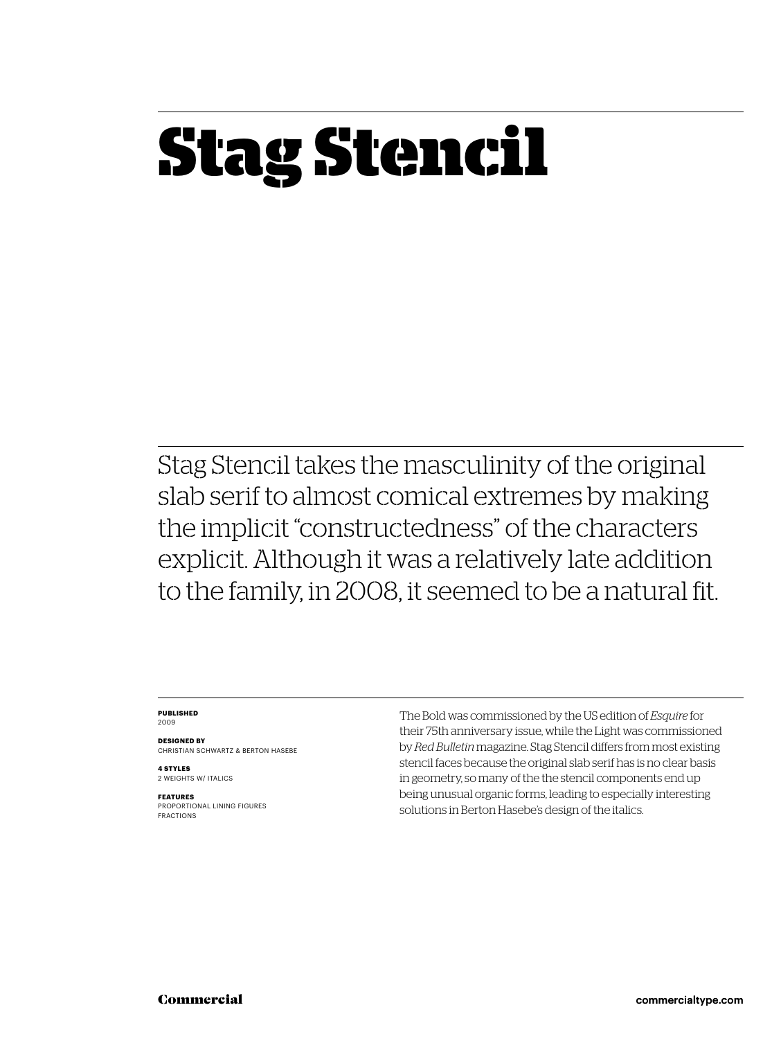## **Stag Stencil**

Stag Stencil takes the masculinity of the original slab serif to almost comical extremes by making the implicit "constructedness" of the characters explicit. Although it was a relatively late addition to the family, in 2008, it seemed to be a natural fit.

### **PUBLISHED** 2009

**DESIGNED BY** CHRISTIAN SCHWARTZ & BERTON HASEBE

**4 STYLES** 2 WEIGHTS W/ ITALICS

**FEATURES** PROPORTIONAL LINING FIGURES FRACTIONS The Bold was commissioned by the US edition of *Esquire* for their 75th anniversary issue, while the Light was commissioned by *Red Bulletin* magazine. Stag Stencil differs from most existing stencil faces because the original slab serif has is no clear basis in geometry, so many of the the stencil components end up being unusual organic forms, leading to especially interesting solutions in Berton Hasebe's design of the italics.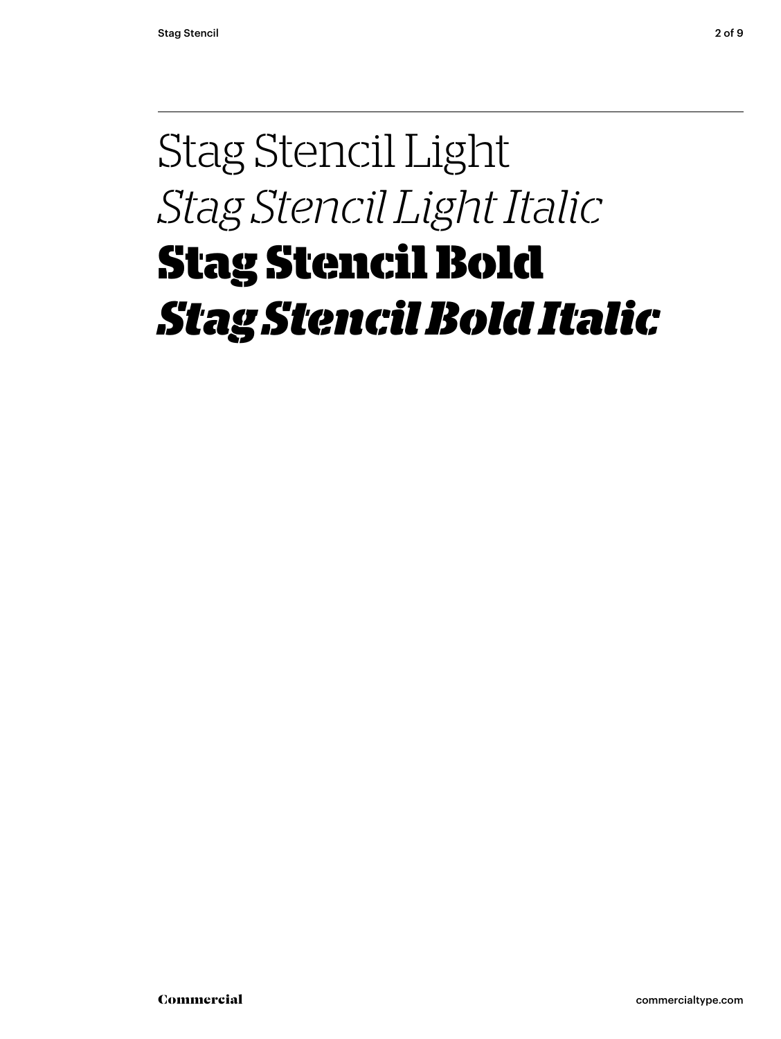### Stag Stencil Light *Stag Stencil Light Italic* **Stag Stencil Bold** *Stag Stencil Bold Italic*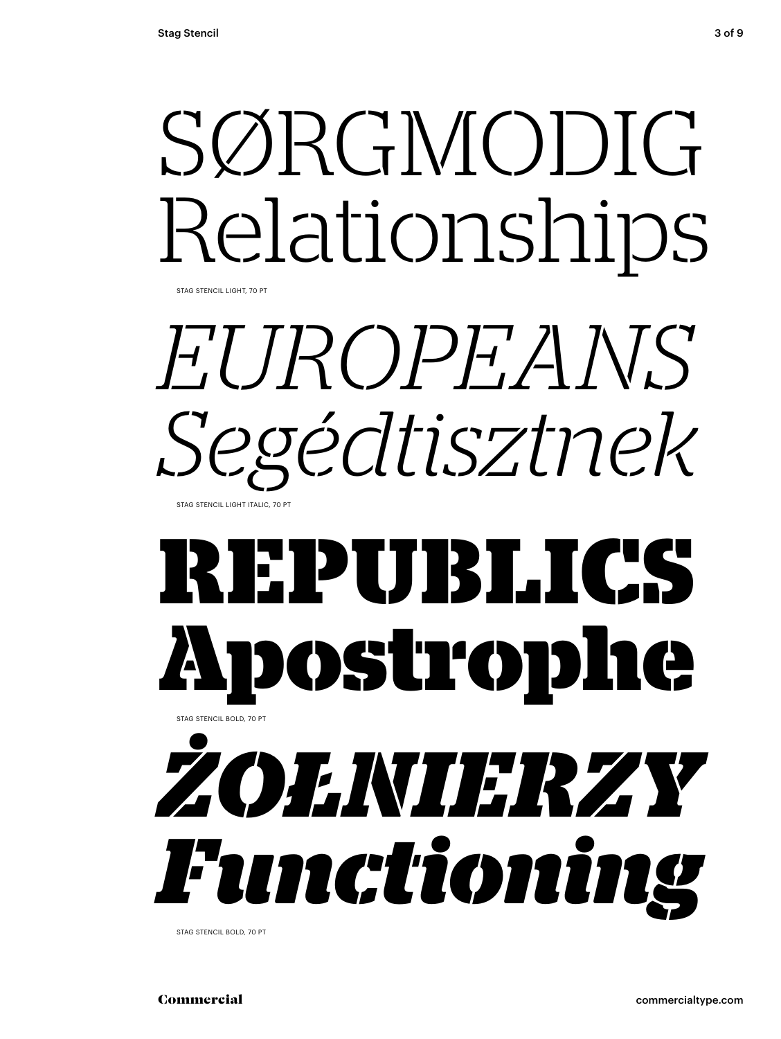# SØRGMODIG Relationships

STAG STENCIL LIGHT, 70 PT



### **REPUBLICS Apostrophe** STAG STENCIL BOLD, 70 PT



STAG STENCIL BOLD, 70 PT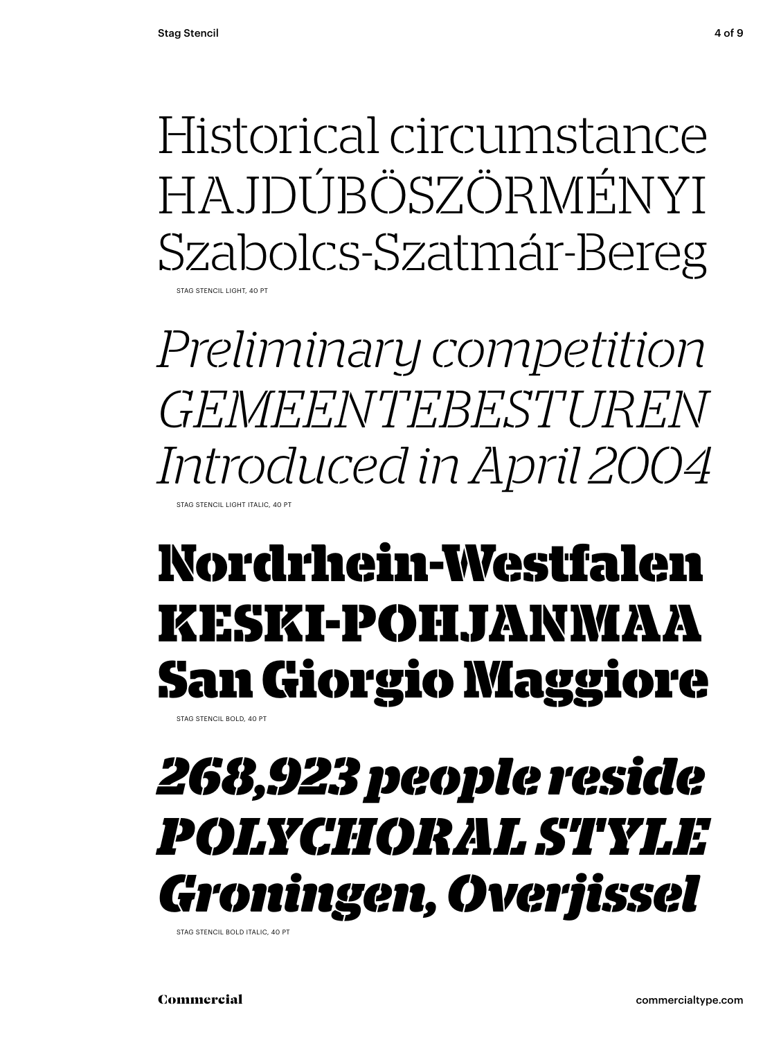Historical circumstance HA IDÚBÖSZÖRMÉNYI Szabolcs-Szatmár-Bereg STAG STENCIL LIGHT, 40 PT

*Preliminary competition GEMEENTEBESTUREN Introduced in April 2004* STAG STENCIL LIGHT ITALIC, 40 PT

### **Nordrhein-Westfalen KESKI-POHJANMAA San Giorgio Maggiore**

STAG STENCIL BOLD, 40 PT

### *268,923 people reside POLYCHORAL STYLE Groningen, Overjissel*

STAG STENCIL BOLD ITALIC, 40 PT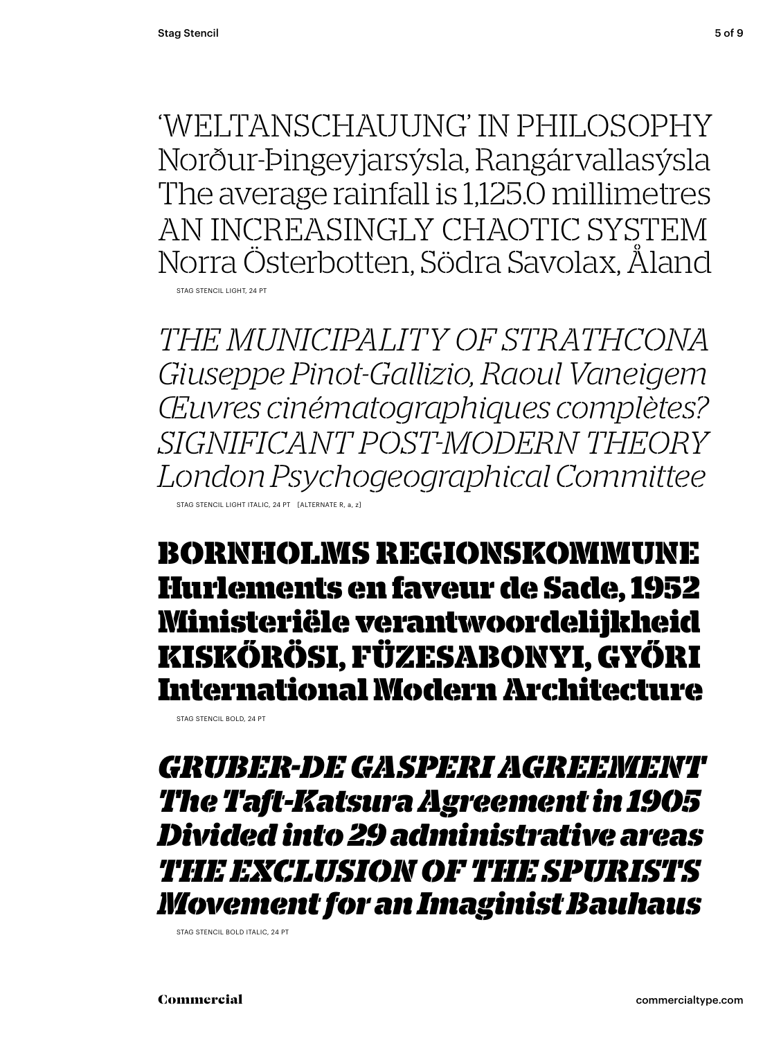'WELTANSCHAUUNG' IN PHILOSOPHY Norður-Þingeyjarsýsla, Rangárvallasýsla The average rainfall is 1,125.0 millimetres AN INCREASINGLY CHAOTIC SYSTEM Norra Österbotten, Södra Savolax, Åland STAG STENCIL LIGHT, 24 PT

*THE MUNICIPALITY OF STRATHCONA Giuseppe Pinot-Gallizio, Raoul Vaneigem Œuvres cinématographiques complètes? SIGNIFICANT POST-MODERN THEORY London Psychogeographical Committee* STAG STENCIL LIGHT ITALIC, 24 PT [ALTERNATE R, a, z]

**BORNHOLMS REGIONSKOMMUNE Hurlements en faveur de Sade, 1952 Ministeriële verantwoordelijkheid KISKŐRÖSI, FÜZESABONYI, GYŐRI International Modern Architecture**

STAG STENCIL BOLD, 24 PT

*GRUBER-DE GASPERI AGREEMENT The Taft -Katsura Agreement in 1905 Divided into 29 administrative areas THE EXCLUSION OF THE SPURISTS Movement for an Imaginist Bauhaus*

STAG STENCIL BOLD ITALIC, 24 PT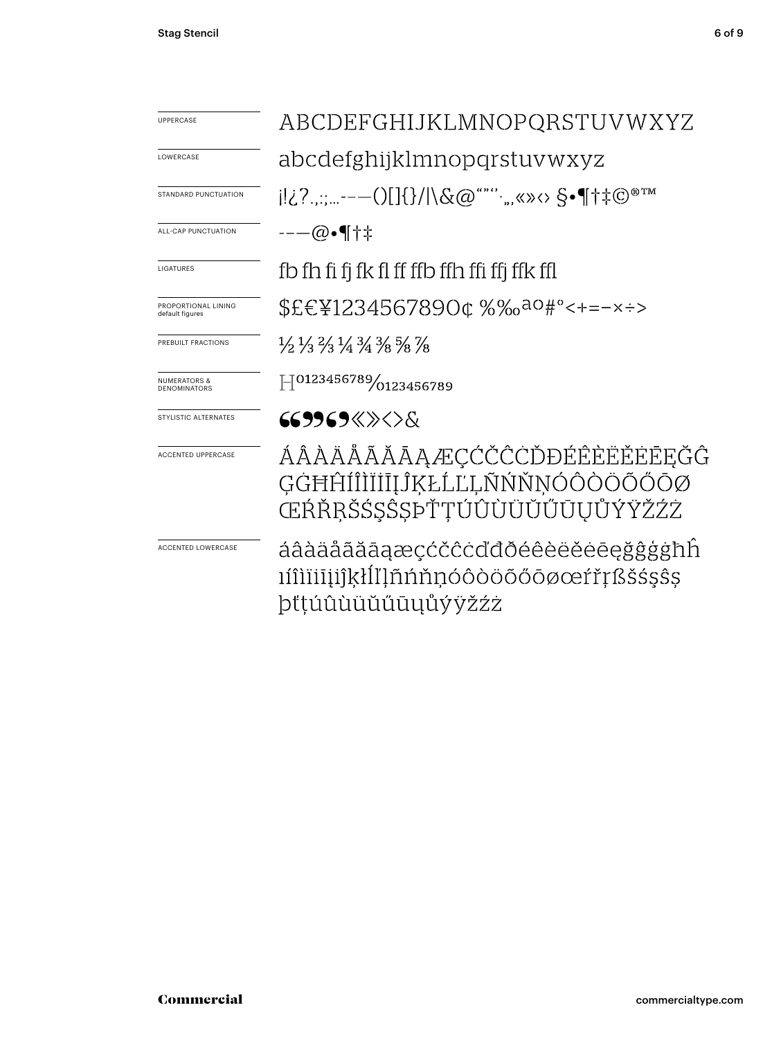| <b>UPPERCASE</b>                               | ABCDEFGHIJKLMNOPQRSTUVWXYZ                                                                                      |
|------------------------------------------------|-----------------------------------------------------------------------------------------------------------------|
| LOWERCASE                                      | abcdefghijklmnopqrstuvwxyz                                                                                      |
| <b>STANDARD PUNCTUATION</b>                    | $ 12?\ldots---()13/1\&@```",\&\&\&\*`$                                                                          |
| ALL-CAP PUNCTUATION                            | --—@•¶†‡                                                                                                        |
| <b>LIGATURES</b>                               | fb fh fi fi fk fl ff ffb ffh ffi ffj ffk ffl                                                                    |
| PROPORTIONAL LINING<br>default figures         | \$£€¥1234567890¢%‰ <sup>ao</sup> #°<+=-×÷>                                                                      |
| PREBUILT FRACTIONS                             | $\frac{1}{2}$ $\frac{1}{3}$ $\frac{2}{3}$ $\frac{1}{4}$ $\frac{3}{4}$ $\frac{3}{8}$ $\frac{5}{8}$ $\frac{7}{8}$ |
| <b>NUMERATORS &amp;</b><br><b>DENOMINATORS</b> | $\left  \right $ 0123456789/0123456789                                                                          |
| STYLISTIC ALTERNATES                           | 669969«»<>&                                                                                                     |
| <b>ACCENTED UPPERCASE</b>                      | ÁÂÀÄÅÃĂĀAÆÇĆČĈĊĎĐÉÊÈËĔĒĒĘĞĜ<br>GĠĦĤĺÎÌĬĪĪĮĴĶŁĹĽĻÑŃŇNÓÔÒÖÕŐŌØ<br>ŒŔŘŖŠŚŞŜŞÞŤŢÚÛÙÜŬŬŨŪŲŮÝŸŽŹŻ                     |
| ACCENTED LOWERCASE                             | áâàäåãăāaæçćčĉċďđðéêèëĕēeğĝģġħĥ<br>ıíîìïiiiijíkłĺľḷñńňnóôòöõőōøœŕřŗßšśşŝş                                       |

þťţúûùüŭűūųůýÿžźż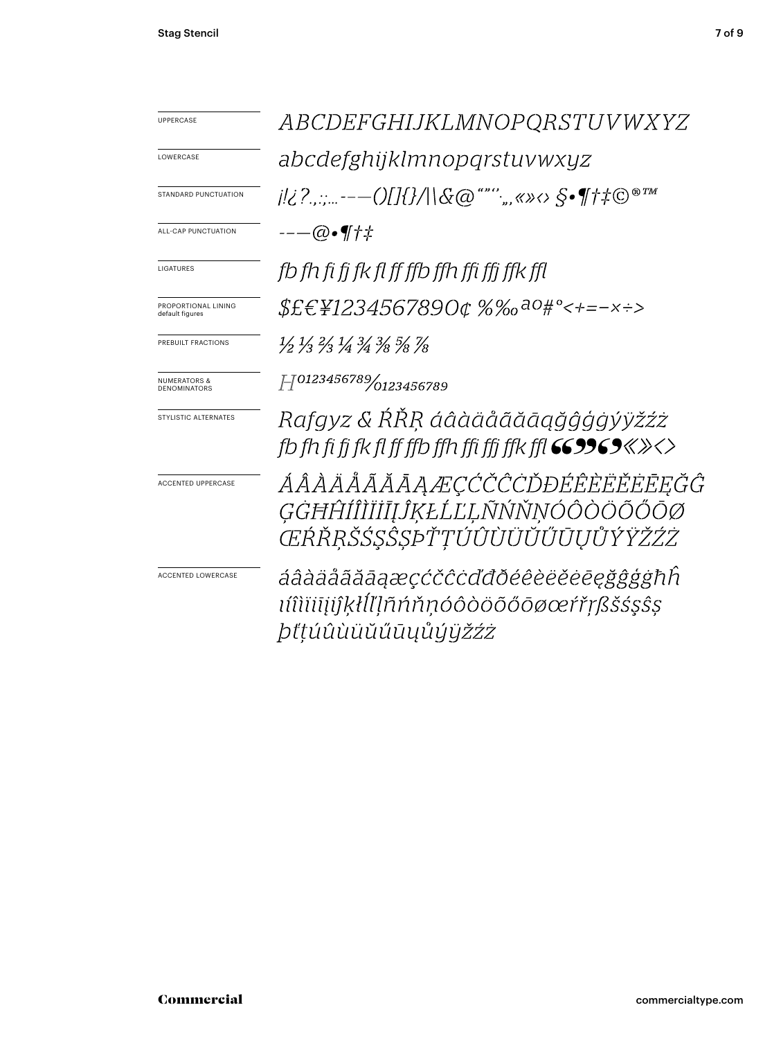| UPPERCASE                                      | <i>ABCDEFGHIJKLMNOPQRSTUVWXYZ</i>                                                                                                      |
|------------------------------------------------|----------------------------------------------------------------------------------------------------------------------------------------|
| LOWERCASE                                      | abcdefghijklmnopqrstuvwxyz                                                                                                             |
| <b>STANDARD PUNCTUATION</b>                    | j ¿?,,:;---()[]{}/ \&@""'';,,«»<> §•¶†‡©®™                                                                                             |
| ALL-CAP PUNCTUATION                            | --—@•¶†‡                                                                                                                               |
| LIGATURES                                      | fb fh fi fi fk fl ff ffb ffh ffi ffi ffk ffl                                                                                           |
| PROPORTIONAL LINING<br>default figures         | \$£€¥1234567890¢%‰ <sup>ao</sup> #°<+=-×÷>                                                                                             |
| PREBUILT FRACTIONS                             | $\frac{1}{2}$ $\frac{1}{3}$ $\frac{2}{3}$ $\frac{1}{4}$ $\frac{3}{4}$ $\frac{3}{8}$ $\frac{5}{8}$ $\frac{7}{8}$                        |
| <b>NUMERATORS &amp;</b><br><b>DENOMINATORS</b> | H0123456789/0123456789                                                                                                                 |
| STYLISTIC ALTERNATES                           | Rafgyz & ŔŘŖ áâàäåãăāąğĝģġýÿžźż<br>fb fh fi fi fk fl ff ffb ffh ffi ffi ffk ffl $\mathsf{GS9969}\!\!\ll\!\!\times\!\!\times\!\!\times$ |
| <b>ACCENTED UPPERCASE</b>                      | ÁÂÀÄÄÃĂĀĀĄÆÇĆČĈŨĎĐÉÊÈËËĒĒĘĞĜ<br>ĢĠĦĤĺÎÌĬĬĪĪĴĶŁĹĽĻÑŃŇŅÓÔÒÖÕŐŌØ<br>ŒŔŘŖŠŚŞŜȘÞŤŢÚÛÙÜŬŬŰŪŲŮÝŸŽŹŻ                                           |
| <b>ACCENTED LOWERCASE</b>                      | áâàäåããāaæçćčĉcďđðéêèëĕēegggghh<br>ıíîìïiīįiĵķłĺľļñńňṇóôòöõőōøœŕřŗßšśşŝş<br><i>þťţúûùüŭűűūųůýÿžźż</i>                                  |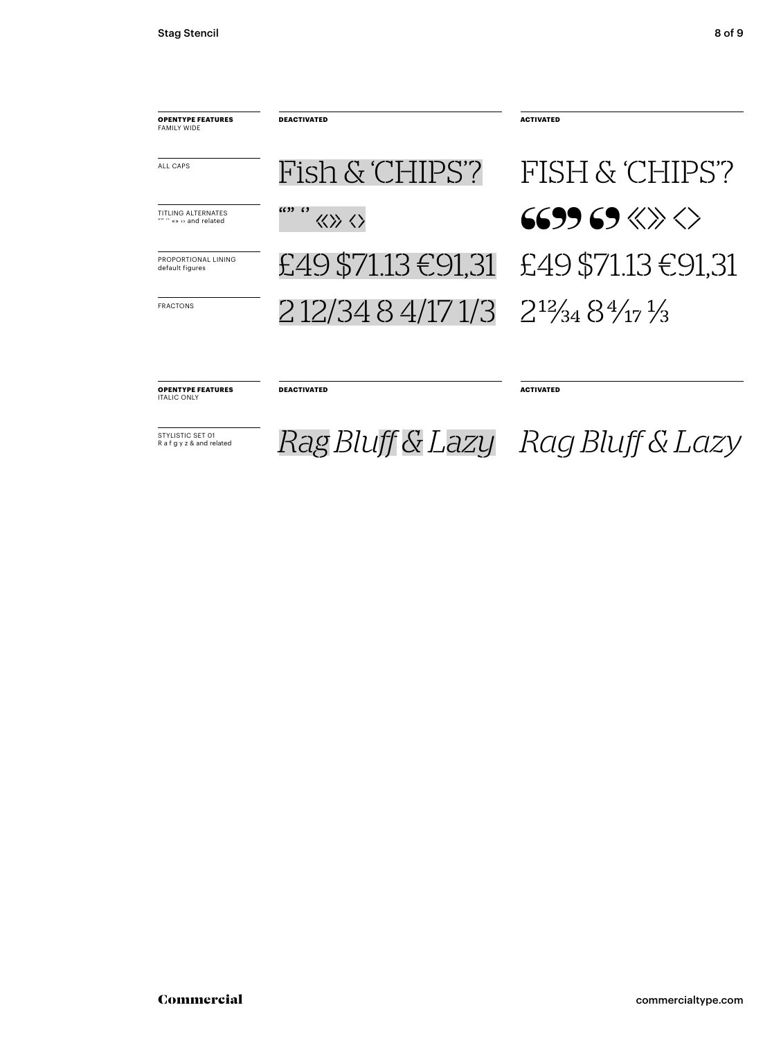

 $\overline{R_{R\text{-}f\text{-}g\text{-}y\text{-}z\text{-}R\text{-}a}}$   $\overline{Rag}$   $\overline{Bluff}$  &  $\overline{Lazy}$   $\overline{Rag}$   $\overline{Bluff}$  &  $\overline{Lazy}$